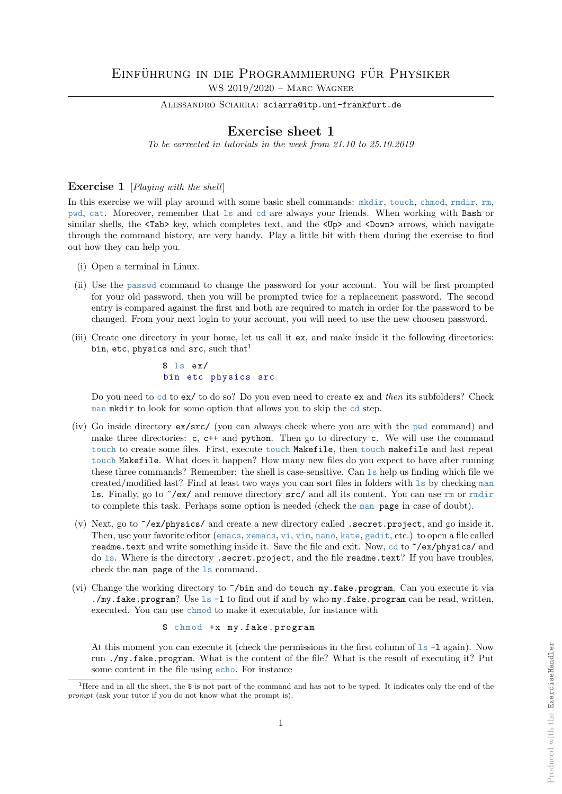ALESSANDRO SCIARRA: sciarra@itp.uni-frankfurt.de

# Exercise sheet 1

To be corrected in tutorials in the week from 21.10 to 25.10.2019

## Exercise 1 [*Playing with the shell*]

In this exercise we will play around with some basic shell commands: mkdir, touch, chmod, rmdir, rm, pwd, cat. Moreover, remember that ls and cd are always your friends. When working with Bash or similar shells, the  $\langle \text{Tab}\rangle$  key, which completes text, and the  $\langle \text{Up}\rangle$  and  $\langle \text{Down}\rangle$  arrows, which navigate through the command history, are very handy. Play a little bit with them during the exercise to find out how they can help you.

- (i) Open a terminal in Linux.
- (ii) Use the passwd command to change the password for your account. You will be first prompted for your old password, then you will be prompted twice for a replacement password. The second entry is compared against the first and both are required to match in order for the password to be changed. From your next login to your account, you will need to use the new choosen password.
- (iii) Create one directory in your home, let us call it ex, and make inside it the following directories: bin, etc, physics and src, such that<sup>1</sup>

## $$ 1s e x/$ bin etc physics src

Do you need to cd to ex/ to do so? Do you even need to create ex and then its subfolders? Check man mkdir to look for some option that allows you to skip the cd step.

- (iv) Go inside directory ex/src/ (you can always check where you are with the pwd command) and make three directories: c, c++ and python. Then go to directory c. We will use the command touch to create some files. First, execute touch Makefile, then touch makefile and last repeat touch Makefile. What does it happen? How many new files do you expect to have after running these three commands? Remember: the shell is case-sensitive. Can ls help us finding which file we created/modified last? Find at least two ways you can sort files in folders with ls by checking man ls. Finally, go to ~/ex/ and remove directory src/ and all its content. You can use rm or rmdir to complete this task. Perhaps some option is needed (check the man page in case of doubt).
- (v) Next, go to ~/ex/physics/ and create a new directory called .secret.project, and go inside it. Then, use your favorite editor (emacs, xemacs, vi, vim, nano, kate, gedit, etc.) to open a file called readme.text and write something inside it. Save the file and exit. Now, cd to ~/ex/physics/ and do ls. Where is the directory .secret.project, and the file readme.text? If you have troubles, check the man page of the ls command.
- (vi) Change the working directory to ~/bin and do touch my.fake.program. Can you execute it via ./my.fake.program? Use ls -l to find out if and by who my.fake.program can be read, written, executed. You can use chmod to make it executable, for instance with

\$ chmod +x my.fake.program

At this moment you can execute it (check the permissions in the first column of  $1s - 1$  again). Now run ./my.fake.program. What is the content of the file? What is the result of executing it? Put some content in the file using echo. For instance

<sup>&</sup>lt;sup>1</sup>Here and in all the sheet, the  $\$  is not part of the command and has not to be typed. It indicates only the end of the prompt (ask your tutor if you do not know what the prompt is).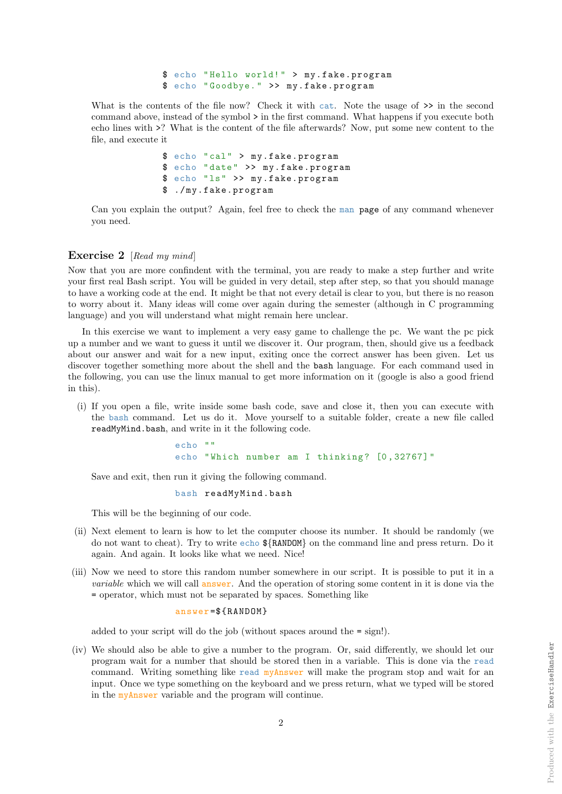\$ echo " Hello world! " > my.fake.program \$ echo " Goodbye. " >> my.fake.program

What is the contents of the file now? Check it with cat. Note the usage of  $\gg$  in the second command above, instead of the symbol > in the first command. What happens if you execute both echo lines with >? What is the content of the file afterwards? Now, put some new content to the file, and execute it

> \$ echo "cal " > my.fake.program \$ echo " date " >> my.fake.program \$ echo "ls" >> my.fake.program \$ ./my.fake.program

Can you explain the output? Again, feel free to check the man page of any command whenever you need.

## Exercise 2 [Read my mind]

Now that you are more confindent with the terminal, you are ready to make a step further and write your first real Bash script. You will be guided in very detail, step after step, so that you should manage to have a working code at the end. It might be that not every detail is clear to you, but there is no reason to worry about it. Many ideas will come over again during the semester (although in C programming language) and you will understand what might remain here unclear.

In this exercise we want to implement a very easy game to challenge the pc. We want the pc pick up a number and we want to guess it until we discover it. Our program, then, should give us a feedback about our answer and wait for a new input, exiting once the correct answer has been given. Let us discover together something more about the shell and the bash language. For each command used in the following, you can use the linux manual to get more information on it (google is also a good friend in this).

(i) If you open a file, write inside some bash code, save and close it, then you can execute with the bash command. Let us do it. Move yourself to a suitable folder, create a new file called readMyMind.bash, and write in it the following code.

```
echo ""
echo "Which number am I thinking? [0,32767]"
```
Save and exit, then run it giving the following command.

bash readMyMind.bash

This will be the beginning of our code.

- (ii) Next element to learn is how to let the computer choose its number. It should be randomly (we do not want to cheat). Try to write echo \${RANDOM} on the command line and press return. Do it again. And again. It looks like what we need. Nice!
- (iii) Now we need to store this random number somewhere in our script. It is possible to put it in a *variable* which we will call answer. And the operation of storing some content in it is done via the = operator, which must not be separated by spaces. Something like

answer =\${RANDOM}

added to your script will do the job (without spaces around the = sign!).

(iv) We should also be able to give a number to the program. Or, said differently, we should let our program wait for a number that should be stored then in a variable. This is done via the read command. Writing something like read myAnswer will make the program stop and wait for an input. Once we type something on the keyboard and we press return, what we typed will be stored in the myAnswer variable and the program will continue.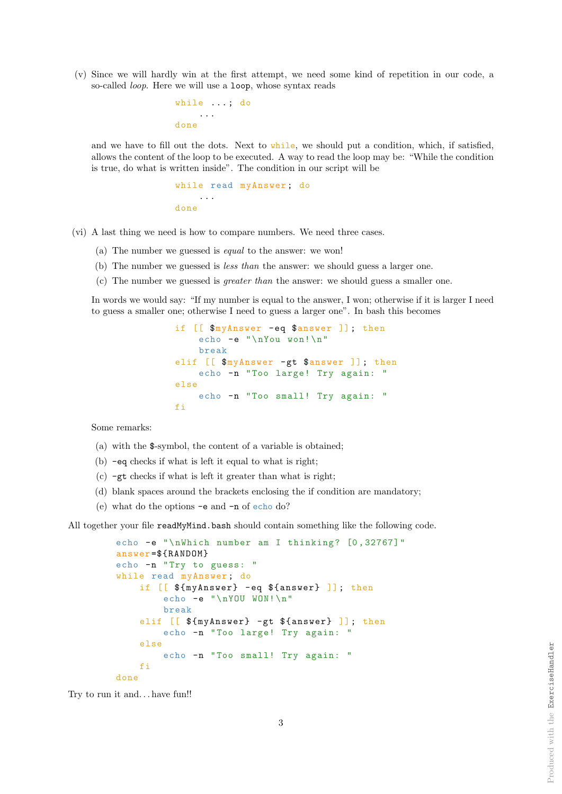(v) Since we will hardly win at the first attempt, we need some kind of repetition in our code, a so-called loop. Here we will use a loop, whose syntax reads

```
while ... ; do
    ...
done
```
and we have to fill out the dots. Next to while, we should put a condition, which, if satisfied, allows the content of the loop to be executed. A way to read the loop may be: "While the condition is true, do what is written inside". The condition in our script will be

```
while read myAnswer ; do
    ...
done
```
(vi) A last thing we need is how to compare numbers. We need three cases.

- (a) The number we guessed is equal to the answer: we won!
- (b) The number we guessed is less than the answer: we should guess a larger one.
- (c) The number we guessed is greater than the answer: we should guess a smaller one.

In words we would say: "If my number is equal to the answer, I won; otherwise if it is larger I need to guess a smaller one; otherwise I need to guess a larger one". In bash this becomes

```
if [[ \text{\$mryAnswer} -eq \text{\$answer} ]]; then
    echo -e "\nYou won!\n"
    break
elif [[ $myAnswer -gt $answer ]]; then
    echo -n " Too large! Try again: "
else
    echo -n "Too small! Try again: "
fi
```
Some remarks:

- (a) with the \$-symbol, the content of a variable is obtained;
- (b) -eq checks if what is left it equal to what is right;
- (c) -gt checks if what is left it greater than what is right;
- (d) blank spaces around the brackets enclosing the if condition are mandatory;
- (e) what do the options -e and -n of echo do?

All together your file readMyMind.bash should contain something like the following code.

```
echo -e "\nWhich number am I thinking? [0, 32767]"
answer =${RANDOM}
echo -n "Try to guess: "
while read myAnswer; do
    if [[ ${myAnswer} - eq ${answer} ]]; then
        echo -e "\nYOU WON!\n"
        break
    elif [[ ${myAnswer} -gt ${answer} ]]; then
        echo -n "Too large! Try again: "
    else
        echo -n "Too small! Try again: "
    fi
done
```
Try to run it and. . . have fun!!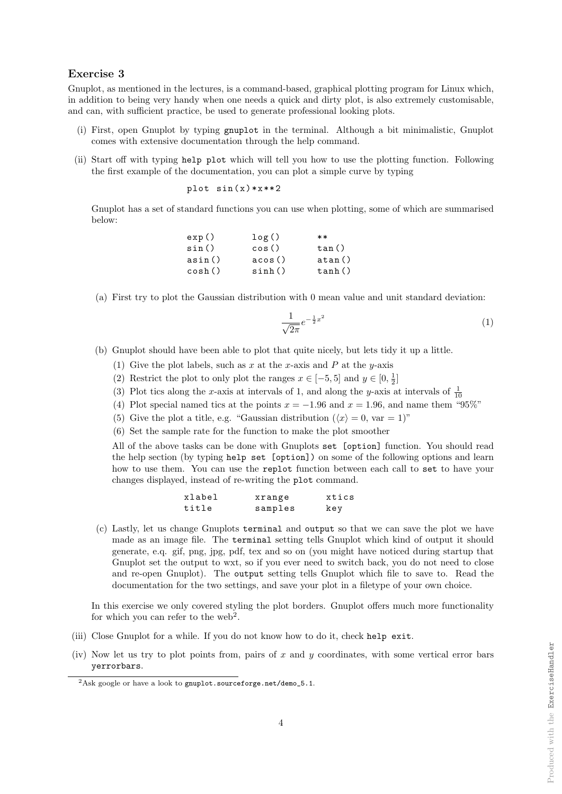### Exercise 3

Gnuplot, as mentioned in the lectures, is a command-based, graphical plotting program for Linux which, in addition to being very handy when one needs a quick and dirty plot, is also extremely customisable, and can, with sufficient practice, be used to generate professional looking plots.

- (i) First, open Gnuplot by typing gnuplot in the terminal. Although a bit minimalistic, Gnuplot comes with extensive documentation through the help command.
- (ii) Start off with typing help plot which will tell you how to use the plotting function. Following the first example of the documentation, you can plot a simple curve by typing

$$
\verb!plot sin(x)*x**2!
$$

Gnuplot has a set of standard functions you can use when plotting, some of which are summarised below:

| exp()  | log()  | $**$   |
|--------|--------|--------|
| sin()  | cos()  | tan()  |
| asin() | acos() | atan() |
| cosh() | sinh() | tanh() |

(a) First try to plot the Gaussian distribution with 0 mean value and unit standard deviation:

$$
\frac{1}{\sqrt{2\pi}}e^{-\frac{1}{2}x^2}
$$
\n<sup>(1)</sup>

(b) Gnuplot should have been able to plot that quite nicely, but lets tidy it up a little.

- (1) Give the plot labels, such as x at the x-axis and P at the y-axis
- (2) Restrict the plot to only plot the ranges  $x \in [-5, 5]$  and  $y \in [0, \frac{1}{2}]$
- (3) Plot tics along the x-axis at intervals of 1, and along the y-axis at intervals of  $\frac{1}{10}$
- (4) Plot special named tics at the points  $x = -1.96$  and  $x = 1.96$ , and name them "95%"
- (5) Give the plot a title, e.g. "Gaussian distribution  $(\langle x \rangle = 0, \text{ var} = 1)$ "
- (6) Set the sample rate for the function to make the plot smoother

All of the above tasks can be done with Gnuplots set [option] function. You should read the help section (by typing help set [option]) on some of the following options and learn how to use them. You can use the replot function between each call to set to have your changes displayed, instead of re-writing the plot command.

| xlabel | xrange  | xtics |
|--------|---------|-------|
| title  | samples | key   |

(c) Lastly, let us change Gnuplots terminal and output so that we can save the plot we have made as an image file. The terminal setting tells Gnuplot which kind of output it should generate, e.q. gif, png, jpg, pdf, tex and so on (you might have noticed during startup that Gnuplot set the output to wxt, so if you ever need to switch back, you do not need to close and re-open Gnuplot). The output setting tells Gnuplot which file to save to. Read the documentation for the two settings, and save your plot in a filetype of your own choice.

In this exercise we only covered styling the plot borders. Gnuplot offers much more functionality for which you can refer to the web<sup>2</sup>.

- (iii) Close Gnuplot for a while. If you do not know how to do it, check help exit.
- (iv) Now let us try to plot points from, pairs of x and  $y$  coordinates, with some vertical error bars yerrorbars.

<sup>&</sup>lt;sup>2</sup>Ask google or have a look to gnuplot.sourceforge.net/demo\_5.1.